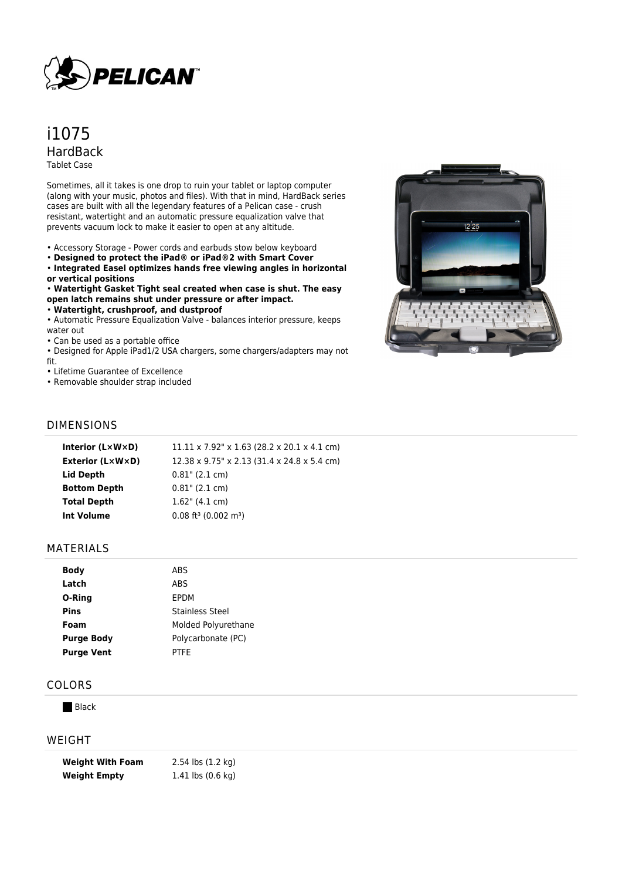

# i1075 HardBack Tablet Case

Sometimes, all it takes is one drop to ruin your tablet or laptop computer (along with your music, photos and files). With that in mind, HardBack series cases are built with all the legendary features of a Pelican case - crush resistant, watertight and an automatic pressure equalization valve that prevents vacuum lock to make it easier to open at any altitude.

- Accessory Storage Power cords and earbuds stow below keyboard
- **Designed to protect the iPad® or iPad®2 with Smart Cover**

• **Integrated Easel optimizes hands free viewing angles in horizontal or vertical positions**

• **Watertight Gasket Tight seal created when case is shut. The easy open latch remains shut under pressure or after impact.**

• **Watertight, crushproof, and dustproof**

• Automatic Pressure Equalization Valve - balances interior pressure, keeps water out

• Can be used as a portable office

• Designed for Apple iPad1/2 USA chargers, some chargers/adapters may not fit.

• Lifetime Guarantee of Excellence

• Removable shoulder strap included



### DIMENSIONS

| Interior $(L \times W \times D)$ | $11.11 \times 7.92$ " x 1.63 (28.2 x 20.1 x 4.1 cm) |
|----------------------------------|-----------------------------------------------------|
| Exterior (L×W×D)                 | 12.38 x 9.75" x 2.13 (31.4 x 24.8 x 5.4 cm)         |
| <b>Lid Depth</b>                 | $0.81$ " (2.1 cm)                                   |
| <b>Bottom Depth</b>              | $0.81$ " (2.1 cm)                                   |
| <b>Total Depth</b>               | $1.62$ " (4.1 cm)                                   |
| Int Volume                       | $0.08$ ft <sup>3</sup> (0.002 m <sup>3</sup> )      |
|                                  |                                                     |

#### MATERIALS

| Body              | ABS                    |
|-------------------|------------------------|
| Latch             | ABS                    |
| O-Ring            | FPDM                   |
| <b>Pins</b>       | <b>Stainless Steel</b> |
| Foam              | Molded Polyurethane    |
| <b>Purge Body</b> | Polycarbonate (PC)     |
| <b>Purge Vent</b> | PTFF                   |

#### COLORS

**Black** 

#### WEIGHT

| <b>Weight With Foam</b> | 2.54 lbs (1.2 kg)                     |
|-------------------------|---------------------------------------|
| <b>Weight Empty</b>     | 1.41 $\mathsf{lbs}(0.6\ \mathsf{kq})$ |